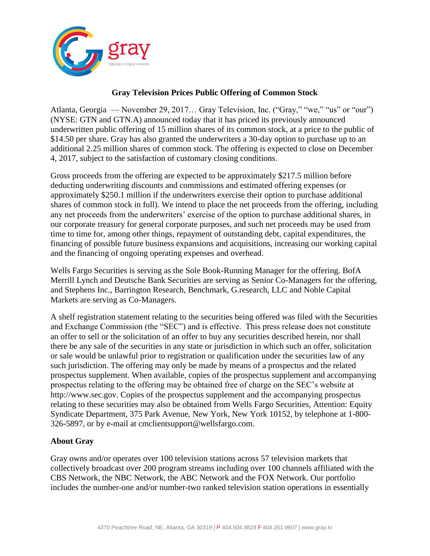

## **Gray Television Prices Public Offering of Common Stock**

Atlanta, Georgia — November 29, 2017… Gray Television, Inc. ("Gray," "we," "us" or "our") (NYSE: GTN and GTN.A) announced today that it has priced its previously announced underwritten public offering of 15 million shares of its common stock, at a price to the public of \$14.50 per share. Gray has also granted the underwriters a 30-day option to purchase up to an additional 2.25 million shares of common stock. The offering is expected to close on December 4, 2017, subject to the satisfaction of customary closing conditions.

Gross proceeds from the offering are expected to be approximately \$217.5 million before deducting underwriting discounts and commissions and estimated offering expenses (or approximately \$250.1 million if the underwriters exercise their option to purchase additional shares of common stock in full). We intend to place the net proceeds from the offering, including any net proceeds from the underwriters' exercise of the option to purchase additional shares, in our corporate treasury for general corporate purposes, and such net proceeds may be used from time to time for, among other things, repayment of outstanding debt, capital expenditures, the financing of possible future business expansions and acquisitions, increasing our working capital and the financing of ongoing operating expenses and overhead.

Wells Fargo Securities is serving as the Sole Book-Running Manager for the offering. BofA Merrill Lynch and Deutsche Bank Securities are serving as Senior Co-Managers for the offering, and Stephens Inc., Barrington Research, Benchmark, G.research, LLC and Noble Capital Markets are serving as Co-Managers.

A shelf registration statement relating to the securities being offered was filed with the Securities and Exchange Commission (the "SEC") and is effective. This press release does not constitute an offer to sell or the solicitation of an offer to buy any securities described herein, nor shall there be any sale of the securities in any state or jurisdiction in which such an offer, solicitation or sale would be unlawful prior to registration or qualification under the securities law of any such jurisdiction. The offering may only be made by means of a prospectus and the related prospectus supplement. When available, copies of the prospectus supplement and accompanying prospectus relating to the offering may be obtained free of charge on the SEC's website at http://www.sec.gov. Copies of the prospectus supplement and the accompanying prospectus relating to these securities may also be obtained from Wells Fargo Securities, Attention: Equity Syndicate Department, 375 Park Avenue, New York, New York 10152, by telephone at 1-800- 326-5897, or by e-mail at cmclientsupport@wellsfargo.com.

## **About Gray**

Gray owns and/or operates over 100 television stations across 57 television markets that collectively broadcast over 200 program streams including over 100 channels affiliated with the CBS Network, the NBC Network, the ABC Network and the FOX Network. Our portfolio includes the number-one and/or number-two ranked television station operations in essentially